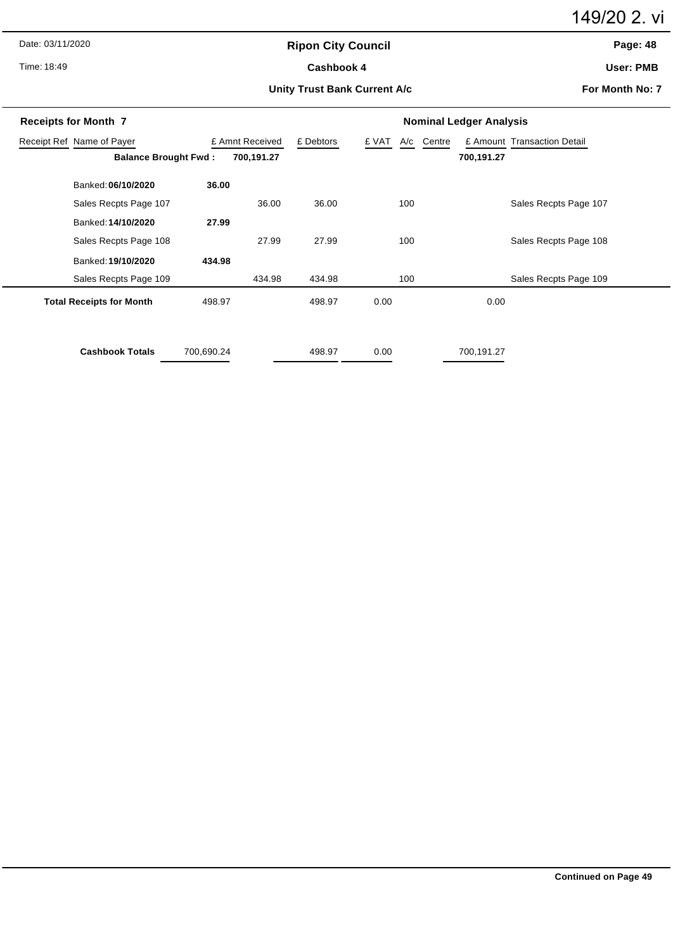Date: 03/11/2020

Time: 18:49

# **Ripon City Council** Cashbook 4

149/20 2. vi

**Page: 48**

**User: PMB**

#### **Unity Trust Bank Current A/c**

**For Month No: 7**

| <b>Receipts for Month 7</b>     |            | <b>Nominal Ledger Analysis</b> |        |              |                                       |  |
|---------------------------------|------------|--------------------------------|--------|--------------|---------------------------------------|--|
| Receipt Ref Name of Payer       |            | £ Amnt Received                |        | £ VAT<br>A/c | Centre<br>£ Amount Transaction Detail |  |
| <b>Balance Brought Fwd:</b>     |            | 700,191.27                     |        |              | 700,191.27                            |  |
| Banked: 06/10/2020              | 36.00      |                                |        |              |                                       |  |
| Sales Recpts Page 107           |            | 36.00                          | 36.00  | 100          | Sales Recpts Page 107                 |  |
| Banked: 14/10/2020              | 27.99      |                                |        |              |                                       |  |
| Sales Recpts Page 108           |            | 27.99                          | 27.99  | 100          | Sales Recpts Page 108                 |  |
| Banked: 19/10/2020              | 434.98     |                                |        |              |                                       |  |
| Sales Recpts Page 109           |            | 434.98                         | 434.98 | 100          | Sales Recpts Page 109                 |  |
| <b>Total Receipts for Month</b> | 498.97     |                                | 498.97 | 0.00         | 0.00                                  |  |
|                                 |            |                                |        |              |                                       |  |
| <b>Cashbook Totals</b>          | 700,690.24 |                                | 498.97 | 0.00         | 700,191.27                            |  |